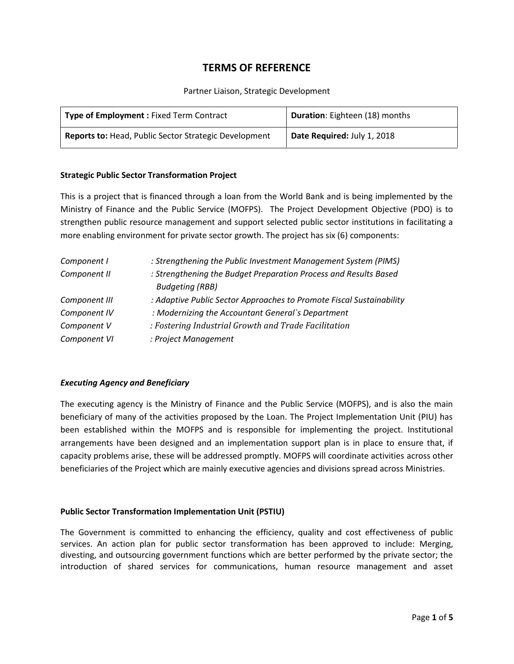# **TERMS OF REFERENCE**

Partner Liaison, Strategic Development

| <b>Type of Employment: Fixed Term Contract</b>               | Duration: Eighteen (18) months |
|--------------------------------------------------------------|--------------------------------|
| <b>Reports to: Head, Public Sector Strategic Development</b> | Date Required: July 1, 2018    |

#### **Strategic Public Sector Transformation Project**

This is a project that is financed through a loan from the World Bank and is being implemented by the Ministry of Finance and the Public Service (MOFPS). The Project Development Objective (PDO) is to strengthen public resource management and support selected public sector institutions in facilitating a more enabling environment for private sector growth. The project has six (6) components:

| Component I   | : Strengthening the Public Investment Management System (PIMS)                             |
|---------------|--------------------------------------------------------------------------------------------|
| Component II  | : Strengthening the Budget Preparation Process and Results Based<br><b>Budgeting (RBB)</b> |
| Component III | : Adaptive Public Sector Approaches to Promote Fiscal Sustainability                       |
| Component IV  | : Modernizing the Accountant General's Department                                          |
| Component V   | : Fostering Industrial Growth and Trade Facilitation                                       |
| Component VI  | : Project Management                                                                       |

#### *Executing Agency and Beneficiary*

The executing agency is the Ministry of Finance and the Public Service (MOFPS), and is also the main beneficiary of many of the activities proposed by the Loan. The Project Implementation Unit (PIU) has been established within the MOFPS and is responsible for implementing the project. Institutional arrangements have been designed and an implementation support plan is in place to ensure that, if capacity problems arise, these will be addressed promptly. MOFPS will coordinate activities across other beneficiaries of the Project which are mainly executive agencies and divisions spread across Ministries.

#### **Public Sector Transformation Implementation Unit (PSTIU)**

The Government is committed to enhancing the efficiency, quality and cost effectiveness of public services. An action plan for public sector transformation has been approved to include: Merging, divesting, and outsourcing government functions which are better performed by the private sector; the introduction of shared services for communications, human resource management and asset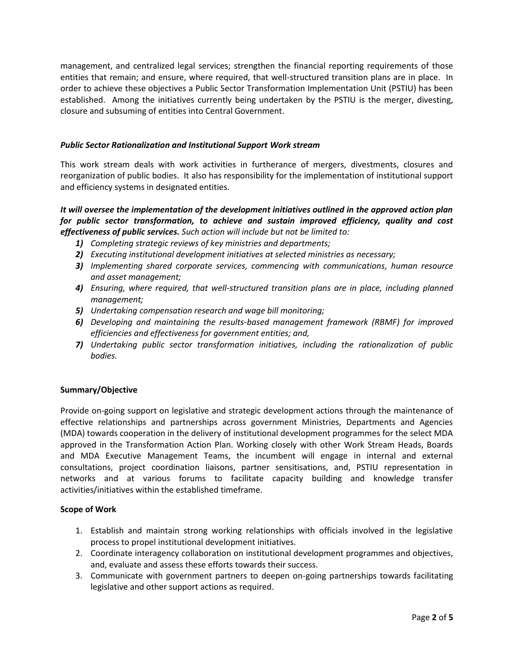management, and centralized legal services; strengthen the financial reporting requirements of those entities that remain; and ensure, where required, that well-structured transition plans are in place. In order to achieve these objectives a Public Sector Transformation Implementation Unit (PSTIU) has been established. Among the initiatives currently being undertaken by the PSTIU is the merger, divesting, closure and subsuming of entities into Central Government.

## *Public Sector Rationalization and Institutional Support Work stream*

This work stream deals with work activities in furtherance of mergers, divestments, closures and reorganization of public bodies. It also has responsibility for the implementation of institutional support and efficiency systems in designated entities.

## *It will oversee the implementation of the development initiatives outlined in the approved action plan for public sector transformation, to achieve and sustain improved efficiency, quality and cost effectiveness of public services. Such action will include but not be limited to:*

- *1) Completing strategic reviews of key ministries and departments;*
- *2) Executing institutional development initiatives at selected ministries as necessary;*
- *3) Implementing shared corporate services, commencing with communications, human resource and asset management;*
- *4) Ensuring, where required, that well-structured transition plans are in place, including planned management;*
- *5) Undertaking compensation research and wage bill monitoring;*
- *6) Developing and maintaining the results-based management framework (RBMF) for improved efficiencies and effectiveness for government entities; and,*
- *7) Undertaking public sector transformation initiatives, including the rationalization of public bodies.*

## **Summary/Objective**

Provide on-going support on legislative and strategic development actions through the maintenance of effective relationships and partnerships across government Ministries, Departments and Agencies (MDA) towards cooperation in the delivery of institutional development programmes for the select MDA approved in the Transformation Action Plan. Working closely with other Work Stream Heads, Boards and MDA Executive Management Teams, the incumbent will engage in internal and external consultations, project coordination liaisons, partner sensitisations, and, PSTIU representation in networks and at various forums to facilitate capacity building and knowledge transfer activities/initiatives within the established timeframe.

## **Scope of Work**

- 1. Establish and maintain strong working relationships with officials involved in the legislative process to propel institutional development initiatives.
- 2. Coordinate interagency collaboration on institutional development programmes and objectives, and, evaluate and assess these efforts towards their success.
- 3. Communicate with government partners to deepen on-going partnerships towards facilitating legislative and other support actions as required.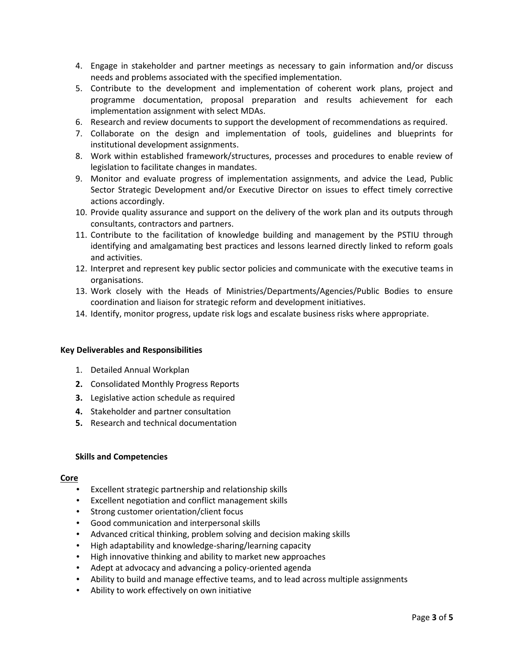- 4. Engage in stakeholder and partner meetings as necessary to gain information and/or discuss needs and problems associated with the specified implementation.
- 5. Contribute to the development and implementation of coherent work plans, project and programme documentation, proposal preparation and results achievement for each implementation assignment with select MDAs.
- 6. Research and review documents to support the development of recommendations as required.
- 7. Collaborate on the design and implementation of tools, guidelines and blueprints for institutional development assignments.
- 8. Work within established framework/structures, processes and procedures to enable review of legislation to facilitate changes in mandates.
- 9. Monitor and evaluate progress of implementation assignments, and advice the Lead, Public Sector Strategic Development and/or Executive Director on issues to effect timely corrective actions accordingly.
- 10. Provide quality assurance and support on the delivery of the work plan and its outputs through consultants, contractors and partners.
- 11. Contribute to the facilitation of knowledge building and management by the PSTIU through identifying and amalgamating best practices and lessons learned directly linked to reform goals and activities.
- 12. Interpret and represent key public sector policies and communicate with the executive teams in organisations.
- 13. Work closely with the Heads of Ministries/Departments/Agencies/Public Bodies to ensure coordination and liaison for strategic reform and development initiatives.
- 14. Identify, monitor progress, update risk logs and escalate business risks where appropriate.

#### **Key Deliverables and Responsibilities**

- 1. Detailed Annual Workplan
- **2.** Consolidated Monthly Progress Reports
- **3.** Legislative action schedule as required
- **4.** Stakeholder and partner consultation
- **5.** Research and technical documentation

#### **Skills and Competencies**

#### **Core**

- Excellent strategic partnership and relationship skills
- Excellent negotiation and conflict management skills
- Strong customer orientation/client focus
- Good communication and interpersonal skills
- Advanced critical thinking, problem solving and decision making skills
- High adaptability and knowledge-sharing/learning capacity
- High innovative thinking and ability to market new approaches
- Adept at advocacy and advancing a policy-oriented agenda
- Ability to build and manage effective teams, and to lead across multiple assignments
- Ability to work effectively on own initiative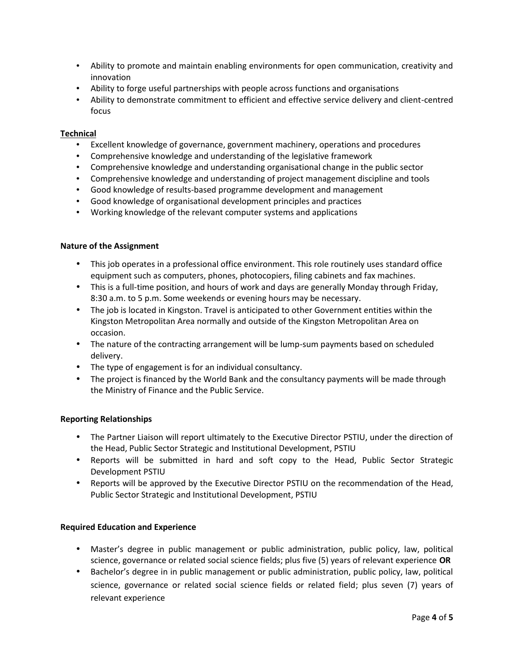- Ability to promote and maintain enabling environments for open communication, creativity and innovation
- Ability to forge useful partnerships with people across functions and organisations
- Ability to demonstrate commitment to efficient and effective service delivery and client-centred focus

## **Technical**

- Excellent knowledge of governance, government machinery, operations and procedures
- Comprehensive knowledge and understanding of the legislative framework
- Comprehensive knowledge and understanding organisational change in the public sector
- Comprehensive knowledge and understanding of project management discipline and tools
- Good knowledge of results-based programme development and management
- Good knowledge of organisational development principles and practices
- Working knowledge of the relevant computer systems and applications

#### **Nature of the Assignment**

- This job operates in a professional office environment. This role routinely uses standard office equipment such as computers, phones, photocopiers, filing cabinets and fax machines.
- This is a full-time position, and hours of work and days are generally Monday through Friday, 8:30 a.m. to 5 p.m. Some weekends or evening hours may be necessary.
- The job is located in Kingston. Travel is anticipated to other Government entities within the Kingston Metropolitan Area normally and outside of the Kingston Metropolitan Area on occasion.
- The nature of the contracting arrangement will be lump-sum payments based on scheduled delivery.
- The type of engagement is for an individual consultancy.
- The project is financed by the World Bank and the consultancy payments will be made through the Ministry of Finance and the Public Service.

#### **Reporting Relationships**

- The Partner Liaison will report ultimately to the Executive Director PSTIU, under the direction of the Head, Public Sector Strategic and Institutional Development, PSTIU
- Reports will be submitted in hard and soft copy to the Head, Public Sector Strategic Development PSTIU
- Reports will be approved by the Executive Director PSTIU on the recommendation of the Head, Public Sector Strategic and Institutional Development, PSTIU

#### **Required Education and Experience**

- Master's degree in public management or public administration, public policy, law, political science, governance or related social science fields; plus five (5) years of relevant experience **OR**
- Bachelor's degree in in public management or public administration, public policy, law, political science, governance or related social science fields or related field; plus seven (7) years of relevant experience